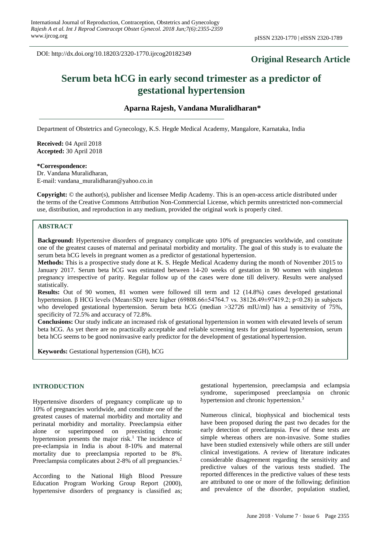DOI: http://dx.doi.org/10.18203/2320-1770.ijrcog20182349

# **Original Research Article**

# **Serum beta hCG in early second trimester as a predictor of gestational hypertension**

# **Aparna Rajesh, Vandana Muralidharan\***

Department of Obstetrics and Gynecology, K.S. Hegde Medical Academy, Mangalore, Karnataka, India

**Received:** 04 April 2018 **Accepted:** 30 April 2018

#### **\*Correspondence:**

Dr. Vandana Muralidharan, E-mail: vandana\_muralidharan@yahoo.co.in

**Copyright:** © the author(s), publisher and licensee Medip Academy. This is an open-access article distributed under the terms of the Creative Commons Attribution Non-Commercial License, which permits unrestricted non-commercial use, distribution, and reproduction in any medium, provided the original work is properly cited.

# **ABSTRACT**

**Background:** Hypertensive disorders of pregnancy complicate upto 10% of pregnancies worldwide, and constitute one of the greatest causes of maternal and perinatal morbidity and mortality. The goal of this study is to evaluate the serum beta hCG levels in pregnant women as a predictor of gestational hypertension.

**Methods:** This is a prospective study done at K. S. Hegde Medical Academy during the month of November 2015 to January 2017. Serum beta hCG was estimated between 14-20 weeks of gestation in 90 women with singleton pregnancy irrespective of parity. Regular follow up of the cases were done till delivery. Results were analysed statistically.

**Results:** Out of 90 women, 81 women were followed till term and 12 (14.8%) cases developed gestational hypertension. β HCG levels (Mean±SD) were higher (69808.66±54764.7 vs. 38126.49±97419.2; p<0.28) in subjects who developed gestational hypertension. Serum beta hCG (median >32726 mIU/ml) has a sensitivity of 75%, specificity of 72.5% and accuracy of 72.8%.

**Conclusions:** Our study indicate an increased risk of gestational hypertension in women with elevated levels of serum beta hCG. As yet there are no practically acceptable and reliable screening tests for gestational hypertension, serum beta hCG seems to be good noninvasive early predictor for the development of gestational hypertension.

**Keywords:** Gestational hypertension (GH), hCG

# **INTRODUCTION**

Hypertensive disorders of pregnancy complicate up to 10% of pregnancies worldwide, and constitute one of the greatest causes of maternal morbidity and mortality and perinatal morbidity and mortality. Preeclampsia either alone or superimposed on preexisting chronic hypertension presents the major risk.<sup>1</sup> The incidence of pre-eclampsia in India is about 8-10% and maternal mortality due to preeclampsia reported to be 8%. Preeclampsia complicates about 2-8% of all pregnancies.<sup>2</sup>

According to the National High Blood Pressure Education Program Working Group Report (2000), hypertensive disorders of pregnancy is classified as;

gestational hypertension, preeclampsia and eclampsia syndrome, superimposed preeclampsia on chronic hypertension and chronic hypertension.<sup>3</sup>

Numerous clinical, biophysical and biochemical tests have been proposed during the past two decades for the early detection of preeclampsia. Few of these tests are simple whereas others are non-invasive. Some studies have been studied extensively while others are still under clinical investigations. A review of literature indicates considerable disagreement regarding the sensitivity and predictive values of the various tests studied. The reported differences in the predictive values of these tests are attributed to one or more of the following; definition and prevalence of the disorder, population studied,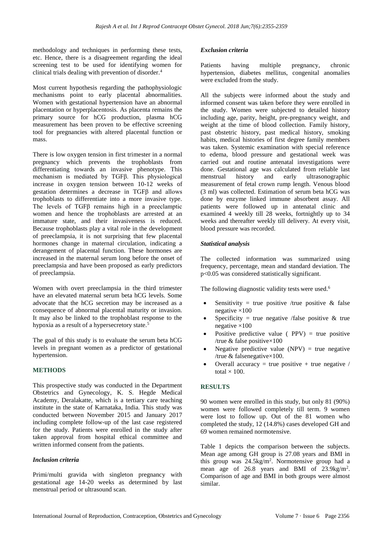methodology and techniques in performing these tests, etc. Hence, there is a disagreement regarding the ideal screening test to be used for identifying women for clinical trials dealing with prevention of disorder.<sup>4</sup>

Most current hypothesis regarding the pathophysiologic mechanisms point to early placental abnormalities. Women with gestational hypertension have an abnormal placentation or hyperplacentosis. As placenta remains the primary source for hCG production, plasma hCG measurement has been proven to be effective screening tool for pregnancies with altered placental function or mass.

There is low oxygen tension in first trimester in a normal pregnancy which prevents the trophoblasts from differentiating towards an invasive phenotype. This mechanism is mediated by TGFβ. This physiological increase in oxygen tension between 10-12 weeks of gestation determines a decrease in TGFβ and allows trophoblasts to differentiate into a more invasive type. The levels of TGFβ remains high in a preeclamptic women and hence the trophoblasts are arrested at an immature state, and their invasiveness is reduced. Because trophoblasts play a vital role in the development of preeclampsia, it is not surprising that few placental hormones change in maternal circulation, indicating a derangement of placental function. These hormones are increased in the maternal serum long before the onset of preeclampsia and have been proposed as early predictors of preeclampsia.

Women with overt preeclampsia in the third trimester have an elevated maternal serum beta hCG levels. Some advocate that the hCG secretion may be increased as a consequence of abnormal placental maturity or invasion. It may also be linked to the trophoblast response to the hypoxia as a result of a hypersecretory state.<sup>5</sup>

The goal of this study is to evaluate the serum beta hCG levels in pregnant women as a predictor of gestational hypertension.

# **METHODS**

This prospective study was conducted in the Department Obstetrics and Gynecology, K. S. Hegde Medical Academy, Deralakatte, which is a tertiary care teaching institute in the state of Karnataka, India. This study was conducted between November 2015 and January 2017 including complete follow-up of the last case registered for the study. Patients were enrolled in the study after taken approval from hospital ethical committee and written informed consent from the patients.

# *Inclusion criteria*

Primi/multi gravida with singleton pregnancy with gestational age 14-20 weeks as determined by last menstrual period or ultrasound scan.

# *Exclusion criteria*

Patients having multiple pregnancy, chronic hypertension, diabetes mellitus, congenital anomalies were excluded from the study.

All the subjects were informed about the study and informed consent was taken before they were enrolled in the study. Women were subjected to detailed history including age, parity, height, pre-pregnancy weight, and weight at the time of blood collection. Family history, past obstetric history, past medical history, smoking habits, medical histories of first degree family members was taken. Systemic examination with special reference to edema, blood pressure and gestational week was carried out and routine antenatal investigations were done. Gestational age was calculated from reliable last menstrual history and early ultrasonographic measurement of fetal crown rump length. Venous blood (3 ml) was collected. Estimation of serum beta hCG was done by enzyme linked immune absorbent assay. All patients were followed up in antenatal clinic and examined 4 weekly till 28 weeks, fortnightly up to 34 weeks and thereafter weekly till delivery. At every visit, blood pressure was recorded.

# *Statistical analysis*

The collected information was summarized using frequency, percentage, mean and standard deviation. The p<0.05 was considered statistically significant.

The following diagnostic validity tests were used.<sup>6</sup>

- Sensitivity = true positive /true positive & false negative  $\times 100$
- Specificity = true negative /false positive  $\&$  true negative  $\times 100$
- Positive predictive value ( $PPV$ ) = true positive /true & false positive×100
- Negative predictive value  $(NPV)$  = true negative /true & falsenegative×100.
- Overall accuracy = true positive + true negative  $\ell$ total  $\times$  100.

# **RESULTS**

90 women were enrolled in this study, but only 81 (90%) women were followed completely till term. 9 women were lost to follow up. Out of the 81 women who completed the study,  $12(14.8%)$  cases developed GH and 69 women remained normotensive.

Table 1 depicts the comparison between the subjects. Mean age among GH group is 27.08 years and BMI in this group was  $24.5 \text{kg/m}^2$ . Normotensive group had a mean age of 26.8 years and BMI of 23.9kg/m<sup>2</sup>. Comparison of age and BMI in both groups were almost similar.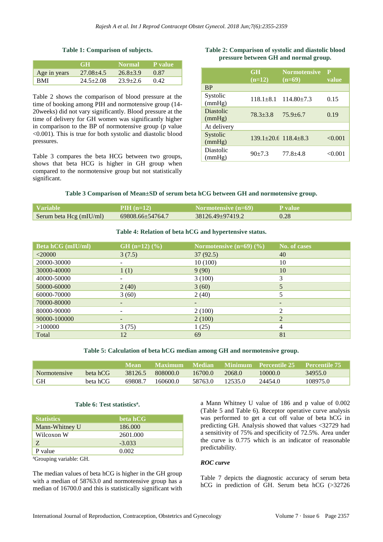#### **Table 1: Comparison of subjects.**

|              | GH.           | <b>Normal</b> | <b>P</b> value |
|--------------|---------------|---------------|----------------|
| Age in years | $27.08 + 4.5$ | $26.8+3.9$    | 0.87           |
| <b>BMI</b>   | $24.5 + 2.08$ | $23.9 + 2.6$  | (142)          |

Table 2 shows the comparison of blood pressure at the time of booking among PIH and normotensive group (14- 20weeks) did not vary significantly. Blood pressure at the time of delivery for GH women was significantly higher in comparison to the BP of normotensive group (p value <0.001). This is true for both systolic and diastolic blood pressures.

Table 3 compares the beta HCG between two groups, shows that beta HCG is higher in GH group when compared to the normotensive group but not statistically significant.

# **Table 2: Comparison of systolic and diastolic blood pressure between GH and normal group.**

|                     | <b>GH</b><br>$(n=12)$            | <b>Normotensive</b><br>$(n=69)$ | $\mathbf{P}$<br>value |
|---------------------|----------------------------------|---------------------------------|-----------------------|
| <b>BP</b>           |                                  |                                 |                       |
| Systolic<br>(mmHg)  | $118.1 + 8.1$                    | $114.80 \pm 7.3$                | 0.15                  |
| Diastolic<br>(mmHg) | $78.3 + 3.8$                     | $75.9 + 6.7$                    | 0.19                  |
| At delivery         |                                  |                                 |                       |
| Systolic<br>(mmHg)  | $139.1 \pm 20.6$ $118.4 \pm 8.3$ |                                 | < 0.001               |
| Diastolic<br>(mmHg) | $90+7.3$                         | $77.8 + 4.8$                    | < 0.001               |

# **Table 3 Comparison of Mean±SD of serum beta hCG between GH and normotensive group.**

| Variable                | $PHH(n=12)$      | Normotensive $(n=69)$ | <b>NP</b> value |
|-------------------------|------------------|-----------------------|-----------------|
| Serum beta Hcg (mIU/ml) | 69808.66±54764.7 | 38126.49±97419.2      | 0.28            |

# **Table 4: Relation of beta hCG and hypertensive status.**

| <b>Beta hCG</b> (mIU/ml) | GH $(n=12)$ $(\frac{9}{6})$ | Normotensive $(n=69)$ $(\frac{9}{6})$ | No. of cases             |
|--------------------------|-----------------------------|---------------------------------------|--------------------------|
| $<$ 20000                | 3(7.5)                      | 37(92.5)                              | 40                       |
| 20000-30000              |                             | 10(100)                               | 10                       |
| 30000-40000              | 1(1)                        | 9(90)                                 | 10                       |
| 40000-50000              |                             | 3(100)                                | 3                        |
| 50000-60000              | 2(40)                       | 3(60)                                 |                          |
| 60000-70000              | 3(60)                       | 2(40)                                 |                          |
| 70000-80000              |                             | $\overline{\phantom{0}}$              | $\overline{\phantom{0}}$ |
| 80000-90000              |                             | 2(100)                                | ◠                        |
| 90000-100000             |                             | 2(100)                                | $\mathfrak{D}$           |
| >100000                  | 3(75)                       | 1(25)                                 | 4                        |
| Total                    | 12                          | 69                                    | 81                       |

#### **Table 5: Calculation of beta hCG median among GH and normotensive group.**

|                     |          | Mean    | <b>Maximum</b> | - Median- |         | Minimum Percentile 25 Percentile 75 |          |
|---------------------|----------|---------|----------------|-----------|---------|-------------------------------------|----------|
| <b>Normotensive</b> | beta hCG | 38126.5 | 808000.0       | 16700.0   | 2068.0  | 10000.0                             | 34955.0  |
| GH                  | beta hCG | 69808.7 | 160600.0       | 58763.0   | 12535.0 | 24454.0                             | 108975.0 |

#### **Table 6: Test statistics<sup>a</sup> .**

| <b>Statistics</b> | beta hCG |
|-------------------|----------|
| Mann-Whitney U    | 186.000  |
| Wilcoxon W        | 2601.000 |
| Z                 | $-3.033$ |
| P value           | 0.002    |
|                   |          |

<sup>a</sup>Grouping variable: GH.

The median values of beta hCG is higher in the GH group with a median of 58763.0 and normotensive group has a median of 16700.0 and this is statistically significant with a Mann Whitney U value of 186 and p value of 0.002 (Table 5 and Table 6). Receptor operative curve analysis was performed to get a cut off value of beta hCG in predicting GH. Analysis showed that values <32729 had a sensitivity of 75% and specificity of 72.5%. Area under the curve is 0.775 which is an indicator of reasonable predictability.

#### *ROC curve*

Table 7 depicts the diagnostic accuracy of serum beta hCG in prediction of GH. Serum beta hCG (>32726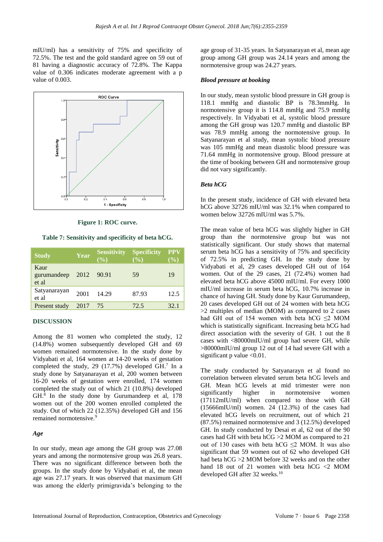mIU/ml) has a sensitivity of 75% and specificity of 72.5%. The test and the gold standard agree on 59 out of 81 having a diagnostic accuracy of 72.8%. The Kappa value of 0.306 indicates moderate agreement with a p value of 0.003.



**Figure 1: ROC curve.**

**Table 7: Sensitivity and specificity of beta hCG.**

| <b>Study</b>                 | Year | <b>Sensitivity</b><br>(%) | <b>Specificity</b><br>$($ %) | <b>PPV</b><br>$(\frac{6}{6})$ |
|------------------------------|------|---------------------------|------------------------------|-------------------------------|
| Kaur<br>gurumandeep<br>et al | 2012 | 90.91                     | 59                           | 19                            |
| Satyanarayan<br>et al        | 2001 | 14.29                     | 87.93                        | 12.5                          |
| Present study                | 2017 | 75                        | 72.5                         | 32.1                          |

#### **DISCUSSION**

Among the 81 women who completed the study, 12 (14.8%) women subsequently developed GH and 69 women remained normotensive. In the study done by Vidyabati et al, 164 women at 14-20 weeks of gestation completed the study, 29 (17.7%) developed GH. 7 In a study done by Satyanarayan et al, 200 women between 16-20 weeks of gestation were enrolled, 174 women completed the study out of which 21 (10.8%) developed GH.<sup>8</sup> In the study done by Gurumandeep et al, 178 women out of the 200 women enrolled completed the study. Out of which 22 (12.35%) developed GH and 156 remained normotensive.<sup>9</sup>

#### *Age*

In our study, mean age among the GH group was 27.08 years and among the normotensive group was 26.8 years. There was no significant difference between both the groups. In the study done by Vidyabati et al, the mean age was 27.17 years. It was observed that maximum GH was among the elderly primigravida's belonging to the

age group of 31-35 years. In Satyanarayan et al, mean age group among GH group was 24.14 years and among the normotensive group was 24.27 years.

#### *Blood pressure at booking*

In our study, mean systolic blood pressure in GH group is 118.1 mmHg and diastolic BP is 78.3mmHg. In normotensive group it is 114.8 mmHg and 75.9 mmHg respectively. In Vidyabati et al, systolic blood pressure among the GH group was 120.7 mmHg and diastolic BP was 78.9 mmHg among the normotensive group. In Satyanarayan et al study, mean systolic blood pressure was 105 mmHg and mean diastolic blood pressure was 71.64 mmHg in normotensive group. Blood pressure at the time of booking between GH and normotensive group did not vary significantly.

#### *Beta hCG*

In the present study, incidence of GH with elevated beta hCG above 32726 mIU/ml was 32.1% when compared to women below 32726 mIU/ml was 5.7%.

The mean value of beta hCG was slightly higher in GH group than the normotensive group but was not statistically significant. Our study shows that maternal serum beta hCG has a sensitivity of 75% and specificity of 72.5% in predicting GH. In the study done by Vidyabati et al, 29 cases developed GH out of 164 women. Out of the 29 cases, 21 (72.4%) women had elevated beta hCG above 45000 mIU/ml. For every 1000 mIU/ml increase in serum beta hCG, 10.7% increase in chance of having GH. Study done by Kaur Gurumandeep, 20 cases developed GH out of 24 women with beta hCG >2 multiples of median (MOM) as compared to 2 cases had GH out of 154 women with beta hCG  $\leq$ 2 MOM which is statistically significant. Increasing beta hCG had direct association with the severity of GH. 1 out the 8 cases with <80000mIU/ml group had severe GH, while >80000mIU/ml group 12 out of 14 had severe GH with a significant p value <0.01.

The study conducted by Satyanarayn et al found no correlation between elevated serum beta hCG levels and GH. Mean hCG levels at mid trimester were non significantly higher in normotensive women (17112mIU/ml) when compared to those with GH (15666mIU/ml) women. 24 (12.3%) of the cases had elevated hCG levels on recruitment, out of which 21 (87.5%) remained normotensive and 3 (12.5%) developed GH. In study conducted by Desai et al, 62 out of the 90 cases had GH with beta hCG >2 MOM as compared to 21 out of 130 cases with beta hCG  $\leq$ 2 MOM. It was also significant that 59 women out of 62 who developed GH had beta hCG >2 MOM before 32 weeks and on the other hand 18 out of 21 women with beta hCG <2 MOM developed GH after 32 weeks.<sup>10</sup>